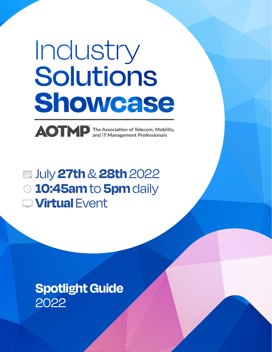# Industry iolutions showcase

The Association of Telecom, Mobility,<br>and IT Management Professionals

July **27th** & **28th** 2022 **10:45am** to **5pm** daily **Virtual** Event

## **Spotlight Guide**  2022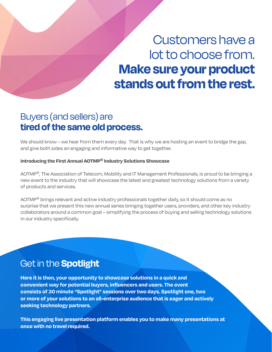# Customers have a lot to choose from. **Make sure your product stands out from the rest.**

### Buyers (and sellers) are **tired of the same old process.**

We should know – we hear from them every day. That is why we are hosting an event to bridge the gap, and give both sides an engaging and informative way to get together.

#### **Introducing the First Annual AOTMP® Industry Solutions Showcase**

AOTMP®, The Association of Telecom, Mobility and IT Management Professionals, is proud to be bringing a new event to the industry that will showcase the latest and greatest technology solutions from a variety of products and services.

AOTMP<sup>®</sup> brings relevant and active industry professionals together daily, so it should come as no surprise that we present this new annual series bringing together users, providers, and other key industry collaborators around a common goal – simplifying the process of buying and selling technology solutions in our industry specifically.

### Get in the **Spotlight**

**Here it is then, your opportunity to showcase solutions in a quick and convenient way for potential buyers, influencers and users. The event consists of 30 minute "Spotlight" sessions over two days. Spotlight one, two or more of your solutions to an all-enterprise audience that is eager and actively seeking technology partners.**

**This engaging live presentation platform enables you to make many presentations at once with no travel required.**